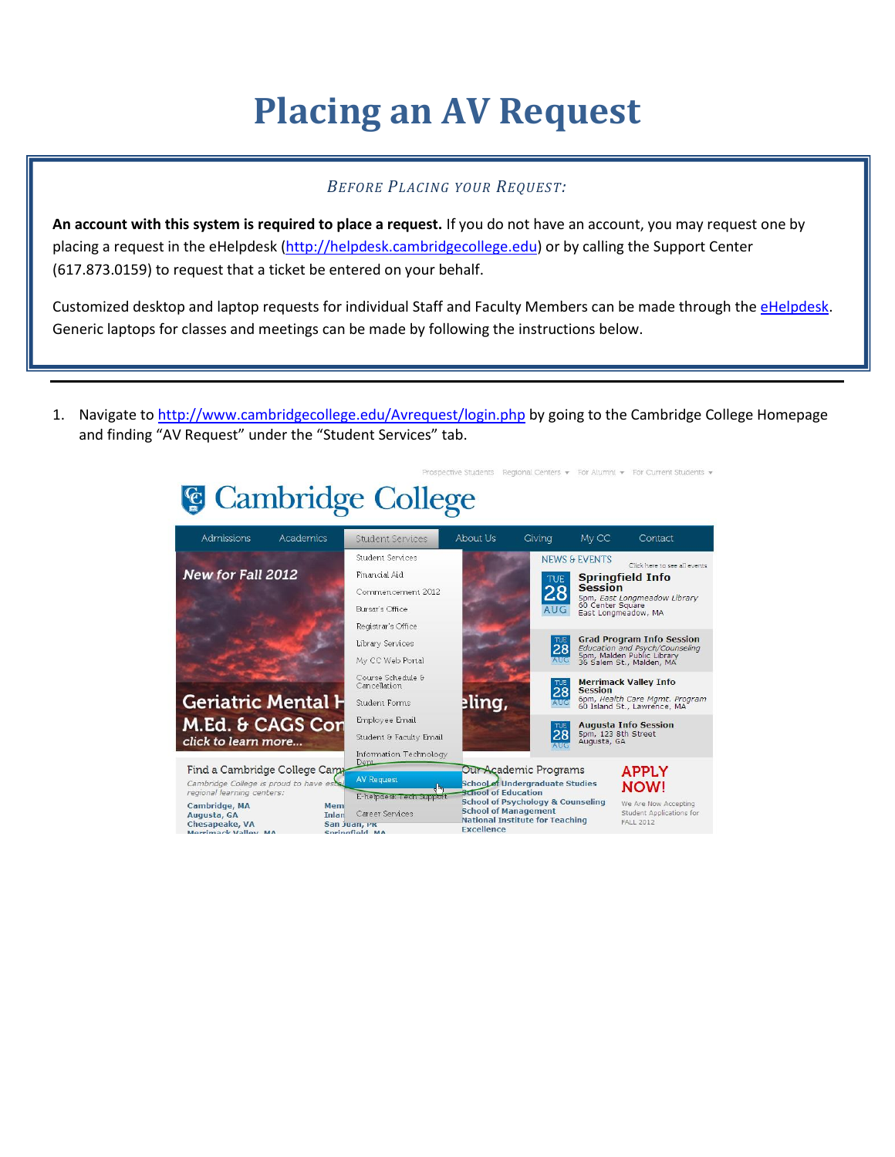## **Placing an AV Request**

## *BEFORE PLACING YOUR REQUEST:*

**An account with this system is required to place a request.** If you do not have an account, you may request one by placing a request in the eHelpdesk [\(http://helpdesk.cambridgecollege.edu\)](http://helpdesk.cambridgecollege.edu/) or by calling the Support Center (617.873.0159) to request that a ticket be entered on your behalf.

Customized desktop and laptop requests for individual Staff and Faculty Members can be made through the [eHelpdesk.](http://helpdesk.cambridgecollege.edu/) Generic laptops for classes and meetings can be made by following the instructions below.

1. Navigate to<http://www.cambridgecollege.edu/Avrequest/login.php> by going to the Cambridge College Homepage and finding "AV Request" under the "Student Services" tab.

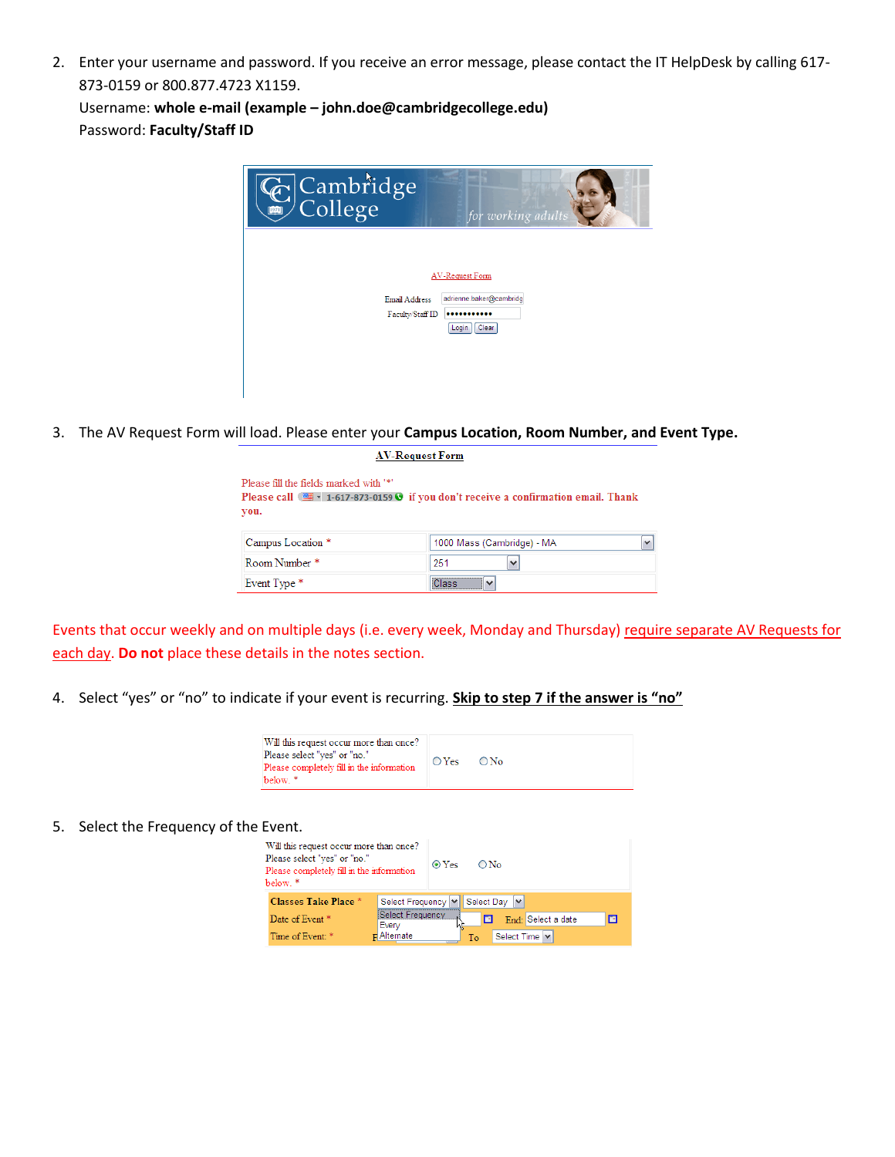2. Enter your username and password. If you receive an error message, please contact the IT HelpDesk by calling 617- 873-0159 or 800.877.4723 X1159.

Username: **whole e-mail (example – john.doe@cambridgecollege.edu)** Password: **Faculty/Staff ID**

| Cambridge                         | for working adults                            |
|-----------------------------------|-----------------------------------------------|
|                                   | AV-Request Form                               |
| Email Address<br>Faculty/Staff ID | adrienne.baker@cambridg<br><br>Login<br>Clear |
|                                   |                                               |

3. The AV Request Form will load. Please enter your **Campus Location, Room Number, and Event Type.**

**AV-Request Form** 

| Please fill the fields marked with '*' |                                                                                                      |                          |
|----------------------------------------|------------------------------------------------------------------------------------------------------|--------------------------|
|                                        | Please call $\equiv$ $\cdot$ 1-617-873-0159 $\odot$ if you don't receive a confirmation email. Thank |                          |
| you.                                   |                                                                                                      |                          |
|                                        |                                                                                                      |                          |
| Campus Location *                      | 1000 Mass (Cambridge) - MA                                                                           | $\overline{\phantom{a}}$ |
| Room Number*                           | 251<br>$\overline{\phantom{a}}$                                                                      |                          |
| Event Type *                           | <br>Class                                                                                            |                          |

Events that occur weekly and on multiple days (i.e. every week, Monday and Thursday) require separate AV Requests for each day. **Do not** place these details in the notes section.

4. Select "yes" or "no" to indicate if your event is recurring. **Skip to step 7 if the answer is "no"**

Event Type \*

| Will this request occur more than once?<br>Please select "yes" or "no."<br>Please completely fill in the information<br>helow * | $OY$ es $ON_{O}$ |  |
|---------------------------------------------------------------------------------------------------------------------------------|------------------|--|
|---------------------------------------------------------------------------------------------------------------------------------|------------------|--|

## 5. Select the Frequency of the Event.

| - ,                                                                                                                              |                           |             |            |                   |   |
|----------------------------------------------------------------------------------------------------------------------------------|---------------------------|-------------|------------|-------------------|---|
| Will this request occur more than once?<br>Please select "yes" or "no."<br>Please completely fill in the information<br>below. * |                           | $\odot$ Yes | O No       |                   |   |
| Classes Take Place *                                                                                                             | Select Frequency  v       |             | Select Day | $\checkmark$      |   |
| Date of Event <sup>*</sup>                                                                                                       | Select Frequency<br>Every |             |            | End Select a date | F |
| Time of Event: *                                                                                                                 | $\mathbf{r}$ Alternate    |             | Tо         | Select Time   v   |   |